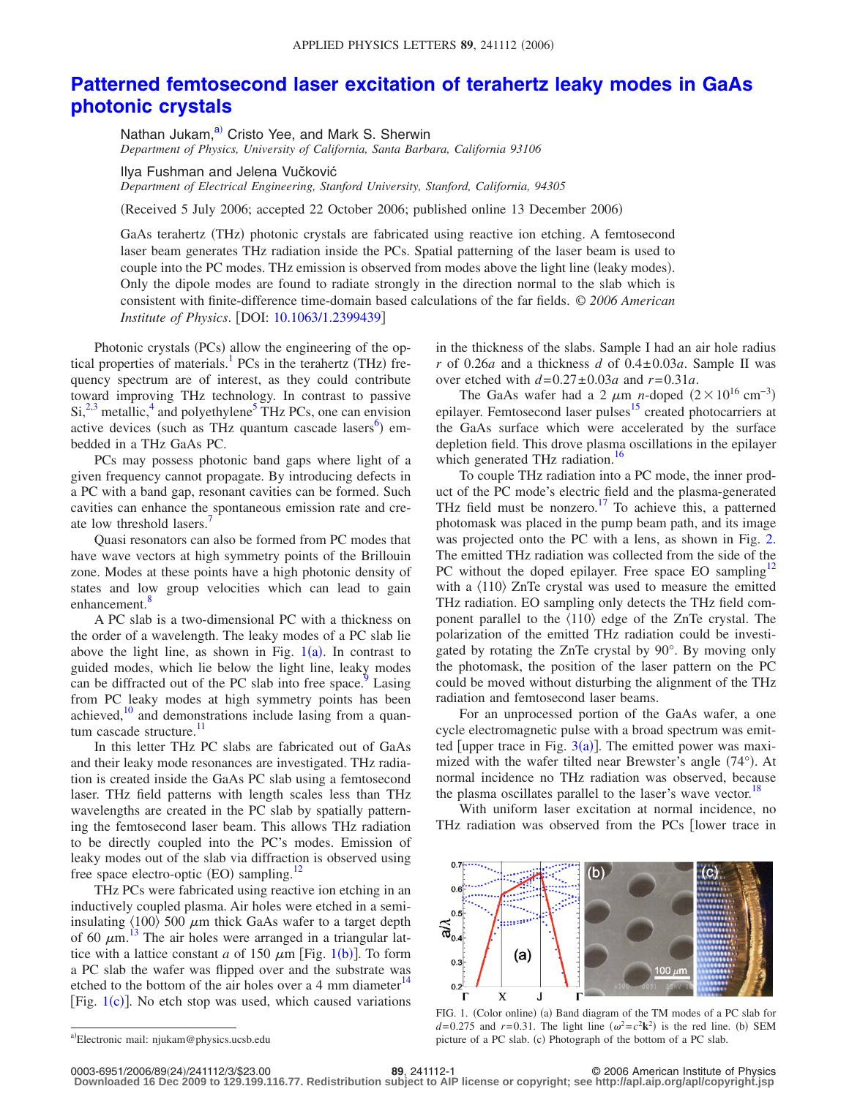## **[Patterned femtosecond laser excitation of terahertz leaky modes in GaAs](http://dx.doi.org/10.1063/1.2399439) [photonic crystals](http://dx.doi.org/10.1063/1.2399439)**

Nathan Jukam,<sup>a)</sup> Cristo Yee, and Mark S. Sherwin *Department of Physics, University of California, Santa Barbara, California 93106*

Ilya Fushman and Jelena Vučković *Department of Electrical Engineering, Stanford University, Stanford, California, 94305*

(Received 5 July 2006; accepted 22 October 2006; published online 13 December 2006)

GaAs terahertz (THz) photonic crystals are fabricated using reactive ion etching. A femtosecond laser beam generates THz radiation inside the PCs. Spatial patterning of the laser beam is used to couple into the PC modes. THz emission is observed from modes above the light line (leaky modes). Only the dipole modes are found to radiate strongly in the direction normal to the slab which is consistent with finite-difference time-domain based calculations of the far fields. © *2006 American Institute of Physics.* [DOI: [10.1063/1.2399439](http://dx.doi.org/10.1063/1.2399439)]

Photonic crystals (PCs) allow the engineering of the optical properties of materials.<sup>1</sup> PCs in the terahertz (THz) frequency spectrum are of interest, as they could contribute toward improving THz technology. In contrast to passive  $\mathrm{Si}^{2,3}$  $\mathrm{Si}^{2,3}$  $\mathrm{Si}^{2,3}$  metallic,<sup>4</sup> and polyethylene<sup>5</sup> THz PCs, one can envision active devices (such as THz quantum cascade lasers<sup>6</sup>) embedded in a THz GaAs PC.

PCs may possess photonic band gaps where light of a given frequency cannot propagate. By introducing defects in a PC with a band gap, resonant cavities can be formed. Such cavities can enhance the spontaneous emission rate and create low threshold lasers.<sup>7</sup>

Quasi resonators can also be formed from PC modes that have wave vectors at high symmetry points of the Brillouin zone. Modes at these points have a high photonic density of states and low group velocities which can lead to gain enhancement.<sup>8</sup>

A PC slab is a two-dimensional PC with a thickness on the order of a wavelength. The leaky modes of a PC slab lie above the light line, as shown in Fig.  $1(a)$  $1(a)$ . In contrast to guided modes, which lie below the light line, leaky modes can be diffracted out of the PC slab into free space.<sup>9</sup> Lasing from PC leaky modes at high symmetry points has been achieved, $10$  and demonstrations include lasing from a quantum cascade structure.<sup>11</sup>

In this letter THz PC slabs are fabricated out of GaAs and their leaky mode resonances are investigated. THz radiation is created inside the GaAs PC slab using a femtosecond laser. THz field patterns with length scales less than THz wavelengths are created in the PC slab by spatially patterning the femtosecond laser beam. This allows THz radiation to be directly coupled into the PC's modes. Emission of leaky modes out of the slab via diffraction is observed using free space electro-optic (EO) sampling.<sup>12</sup>

THz PCs were fabricated using reactive ion etching in an inductively coupled plasma. Air holes were etched in a semiinsulating  $\langle 100 \rangle$  500  $\mu$ m thick GaAs wafer to a target depth of 60  $\mu$ m.<sup>[13](#page-2-12)</sup> The air holes were arranged in a triangular lattice with a lattice constant *a* of [1](#page-0-1)50  $\mu$ m [Fig. 1(b)]. To form a PC slab the wafer was flipped over and the substrate was etched to the bottom of the air holes over a 4 mm diameter $14$ [Fig. [1](#page-0-1)(c)]. No etch stop was used, which caused variations

<span id="page-0-0"></span>a)Electronic mail: njukam@physics.ucsb.edu

in the thickness of the slabs. Sample I had an air hole radius  $r$  of 0.26*a* and a thickness *d* of 0.4 $\pm$ 0.03*a*. Sample II was over etched with  $d=0.27\pm0.03a$  and  $r=0.31a$ .

The GaAs wafer had a 2  $\mu$ m *n*-doped (2×10<sup>16</sup> cm<sup>-3</sup>) epilayer. Femtosecond laser pulses<sup>15</sup> created photocarriers at the GaAs surface which were accelerated by the surface depletion field. This drove plasma oscillations in the epilayer which generated THz radiation.<sup>16</sup>

To couple THz radiation into a PC mode, the inner product of the PC mode's electric field and the plasma-generated THz field must be nonzero.<sup>17</sup> To achieve this, a patterned photomask was placed in the pump beam path, and its image was projected onto the PC with a lens, as shown in Fig. [2.](#page-1-0) The emitted THz radiation was collected from the side of the PC without the doped epilayer. Free space EO sampling<sup>12</sup> with a  $\langle 110 \rangle$  ZnTe crystal was used to measure the emitted THz radiation. EO sampling only detects the THz field component parallel to the  $\langle 110 \rangle$  edge of the ZnTe crystal. The polarization of the emitted THz radiation could be investigated by rotating the ZnTe crystal by 90°. By moving only the photomask, the position of the laser pattern on the PC could be moved without disturbing the alignment of the THz radiation and femtosecond laser beams.

For an unprocessed portion of the GaAs wafer, a one cycle electromagnetic pulse with a broad spectrum was emitted [upper trace in Fig.  $3(a)$  $3(a)$ ]. The emitted power was maximized with the wafer tilted near Brewster's angle (74°). At normal incidence no THz radiation was observed, because the plasma oscillates parallel to the laser's wave vector.<sup>18</sup>

<span id="page-0-1"></span>With uniform laser excitation at normal incidence, no THz radiation was observed from the PCs [lower trace in



FIG. 1. (Color online) (a) Band diagram of the TM modes of a PC slab for  $d=0.275$  and  $r=0.31$ . The light line  $(\omega^2 = c^2 \mathbf{k}^2)$  is the red line. (b) SEM picture of a PC slab. (c) Photograph of the bottom of a PC slab.

**Downloaded 16 Dec 2009 to 129.199.116.77. Redistribution subject to AIP license or copyright; see http://apl.aip.org/apl/copyright.jsp**

**<sup>89</sup>**, 241112-1 © 2006 American Institute of Physics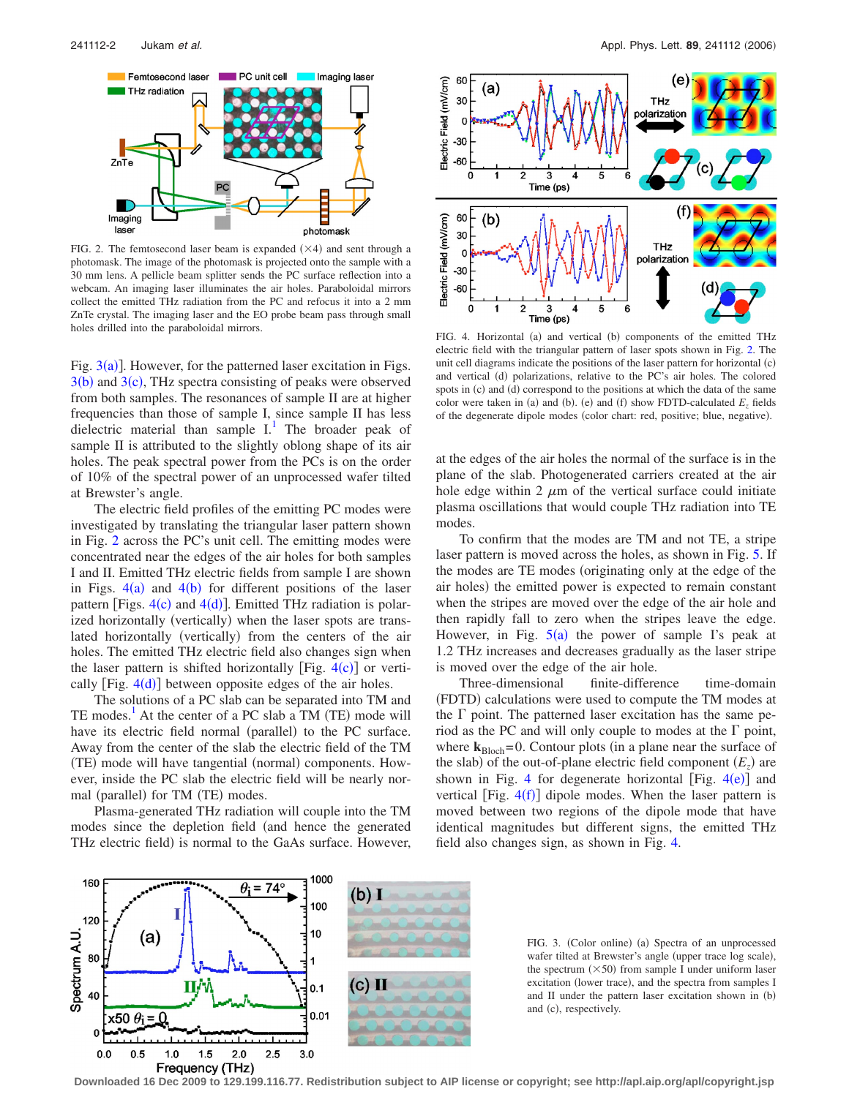<span id="page-1-0"></span>

FIG. 2. The femtosecond laser beam is expanded  $(\times 4)$  and sent through a photomask. The image of the photomask is projected onto the sample with a 30 mm lens. A pellicle beam splitter sends the PC surface reflection into a webcam. An imaging laser illuminates the air holes. Paraboloidal mirrors collect the emitted THz radiation from the PC and refocus it into a 2 mm ZnTe crystal. The imaging laser and the EO probe beam pass through small holes drilled into the paraboloidal mirrors.

Fig.  $3(a)$  $3(a)$ ]. However, for the patterned laser excitation in Figs.  $3(b)$  $3(b)$  and  $3(c)$ , THz spectra consisting of peaks were observed from both samples. The resonances of sample II are at higher frequencies than those of sample I, since sample II has less dielectric material than sample  $I<sup>1</sup>$ . The broader peak of sample II is attributed to the slightly oblong shape of its air holes. The peak spectral power from the PCs is on the order of 10% of the spectral power of an unprocessed wafer tilted at Brewster's angle.

The electric field profiles of the emitting PC modes were investigated by translating the triangular laser pattern shown in Fig. [2](#page-1-0) across the PC's unit cell. The emitting modes were concentrated near the edges of the air holes for both samples I and II. Emitted THz electric fields from sample I are shown in Figs.  $4(a)$  $4(a)$  and  $4(b)$  for different positions of the laser pattern [Figs.  $4(c)$  $4(c)$  and  $4(d)$ ]. Emitted THz radiation is polarized horizontally (vertically) when the laser spots are translated horizontally (vertically) from the centers of the air holes. The emitted THz electric field also changes sign when the laser pattern is shifted horizontally [Fig.  $4(c)$  $4(c)$ ] or vertically  $[Fig. 4(d)]$  $[Fig. 4(d)]$  $[Fig. 4(d)]$  between opposite edges of the air holes.

The solutions of a PC slab can be separated into TM and TE modes.<sup>1</sup> At the center of a PC slab a TM (TE) mode will have its electric field normal (parallel) to the PC surface. Away from the center of the slab the electric field of the TM (TE) mode will have tangential (normal) components. However, inside the PC slab the electric field will be nearly normal (parallel) for TM (TE) modes.

Plasma-generated THz radiation will couple into the TM modes since the depletion field (and hence the generated THz electric field) is normal to the GaAs surface. However,

<span id="page-1-2"></span>

FIG. 4. Horizontal (a) and vertical (b) components of the emitted THz electric field with the triangular pattern of laser spots shown in Fig. [2.](#page-1-0) The unit cell diagrams indicate the positions of the laser pattern for horizontal (c) and vertical (d) polarizations, relative to the PC's air holes. The colored spots in (c) and (d) correspond to the positions at which the data of the same color were taken in (a) and (b). (e) and (f) show FDTD-calculated  $E_z$  fields of the degenerate dipole modes (color chart: red, positive; blue, negative).

at the edges of the air holes the normal of the surface is in the plane of the slab. Photogenerated carriers created at the air hole edge within 2  $\mu$ m of the vertical surface could initiate plasma oscillations that would couple THz radiation into TE modes.

To confirm that the modes are TM and not TE, a stripe laser pattern is moved across the holes, as shown in Fig. [5.](#page-2-18) If the modes are TE modes (originating only at the edge of the air holes) the emitted power is expected to remain constant when the stripes are moved over the edge of the air hole and then rapidly fall to zero when the stripes leave the edge. However, in Fig.  $5(a)$  $5(a)$  the power of sample I's peak at 1.2 THz increases and decreases gradually as the laser stripe is moved over the edge of the air hole.

Three-dimensional finite-difference time-domain (FDTD) calculations were used to compute the TM modes at the  $\Gamma$  point. The patterned laser excitation has the same period as the PC and will only couple to modes at the  $\Gamma$  point, where  $k_{\text{Bloch}} = 0$ . Contour plots (in a plane near the surface of the slab) of the out-of-plane electric field component  $(E_z)$  are shown in Fig. [4](#page-1-2) for degenerate horizontal [Fig.  $4(e)$ ] and vertical [Fig.  $4(f)$  $4(f)$ ] dipole modes. When the laser pattern is moved between two regions of the dipole mode that have identical magnitudes but different signs, the emitted THz field also changes sign, as shown in Fig. [4.](#page-1-2)

<span id="page-1-1"></span>

FIG. 3. (Color online) (a) Spectra of an unprocessed wafer tilted at Brewster's angle (upper trace log scale), the spectrum  $(\times 50)$  from sample I under uniform laser excitation (lower trace), and the spectra from samples I and II under the pattern laser excitation shown in (b) and (c), respectively.

**Downloaded 16 Dec 2009 to 129.199.116.77. Redistribution subject to AIP license or copyright; see http://apl.aip.org/apl/copyright.jsp**